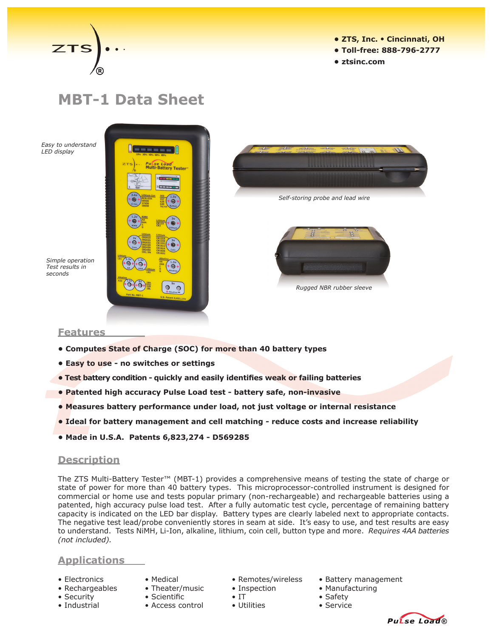

- **ZTS, Inc. Cincinnati, OH**
- **Toll-free: 888-796-2777**
- **ztsinc.com**

# **MBT-1 Data Sheet**

*Easy to understand LED display*

*Simple operation Test results in seconds*





*Rugged NBR rubber sleeve*

#### **Features**

- **• Computes State of Charge (SOC) for more than 40 battery types**
- **• Easy to use - no switches or settings**
- **Test battery condition quickly and easily identifies weak or failing batteries**
- **• Patented high accuracy Pulse Load test - battery safe, non-invasive**
- **• Measures battery performance under load, not just voltage or internal resistance**
- **• Ideal for battery management and cell matching - reduce costs and increase reliability**
- **• Made in U.S.A. Patents 6,823,274 - D569285**

#### **Description**

The ZTS Multi-Battery Tester™ (MBT-1) provides a comprehensive means of testing the state of charge or state of power for more than 40 battery types. This microprocessor-controlled instrument is designed for commercial or home use and tests popular primary (non-rechargeable) and rechargeable batteries using a patented, high accuracy pulse load test. After a fully automatic test cycle, percentage of remaining battery capacity is indicated on the LED bar display. Battery types are clearly labeled next to appropriate contacts. The negative test lead/probe conveniently stores in seam at side. It's easy to use, and test results are easy to understand. Tests NiMH, Li-Ion, alkaline, lithium, coin cell, button type and more. *Requires 4AA batteries (not included).*

## **Applications**

- 
- 
- 
- 
- 
- 
- 
- Industrial Access control • Utilities Service
- 
- 
- -
- Electronics Medical Remotes/wireless Battery management
- Rechargeables Theater/music Inspection Manufacturing
	-
	-



- Security Scientific IT Safety Safety
	-